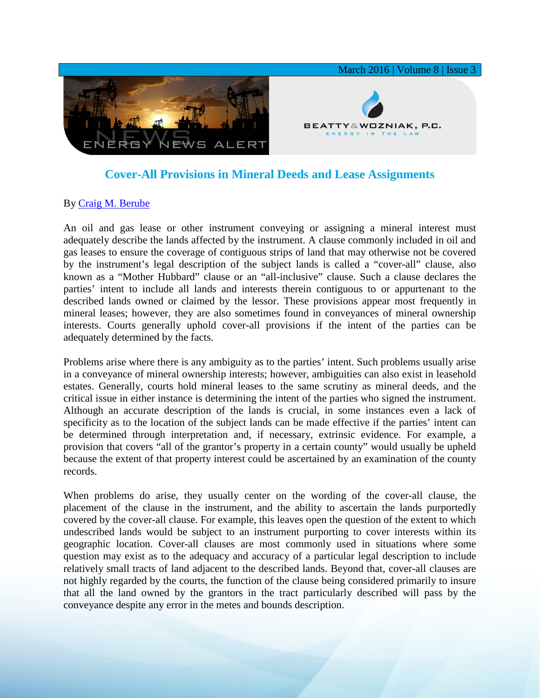

## **Cover-All Provisions in Mineral Deeds and Lease Assignments**

## By [Craig M. Berube](http://www.bwenergylaw.com/#!craig-berube/c1g52)

An oil and gas lease or other instrument conveying or assigning a mineral interest must adequately describe the lands affected by the instrument. A clause commonly included in oil and gas leases to ensure the coverage of contiguous strips of land that may otherwise not be covered by the instrument's legal description of the subject lands is called a "cover-all" clause, also known as a "Mother Hubbard" clause or an "all-inclusive" clause. Such a clause declares the parties' intent to include all lands and interests therein contiguous to or appurtenant to the described lands owned or claimed by the lessor. These provisions appear most frequently in mineral leases; however, they are also sometimes found in conveyances of mineral ownership interests. Courts generally uphold cover-all provisions if the intent of the parties can be adequately determined by the facts.

Problems arise where there is any ambiguity as to the parties' intent. Such problems usually arise in a conveyance of mineral ownership interests; however, ambiguities can also exist in leasehold estates. Generally, courts hold mineral leases to the same scrutiny as mineral deeds, and the critical issue in either instance is determining the intent of the parties who signed the instrument. Although an accurate description of the lands is crucial, in some instances even a lack of specificity as to the location of the subject lands can be made effective if the parties' intent can be determined through interpretation and, if necessary, extrinsic evidence. For example, a provision that covers "all of the grantor's property in a certain county" would usually be upheld because the extent of that property interest could be ascertained by an examination of the county records.

When problems do arise, they usually center on the wording of the cover-all clause, the placement of the clause in the instrument, and the ability to ascertain the lands purportedly covered by the cover-all clause. For example, this leaves open the question of the extent to which undescribed lands would be subject to an instrument purporting to cover interests within its geographic location. Cover-all clauses are most commonly used in situations where some question may exist as to the adequacy and accuracy of a particular legal description to include relatively small tracts of land adjacent to the described lands. Beyond that, cover-all clauses are not highly regarded by the courts, the function of the clause being considered primarily to insure that all the land owned by the grantors in the tract particularly described will pass by the conveyance despite any error in the metes and bounds description.